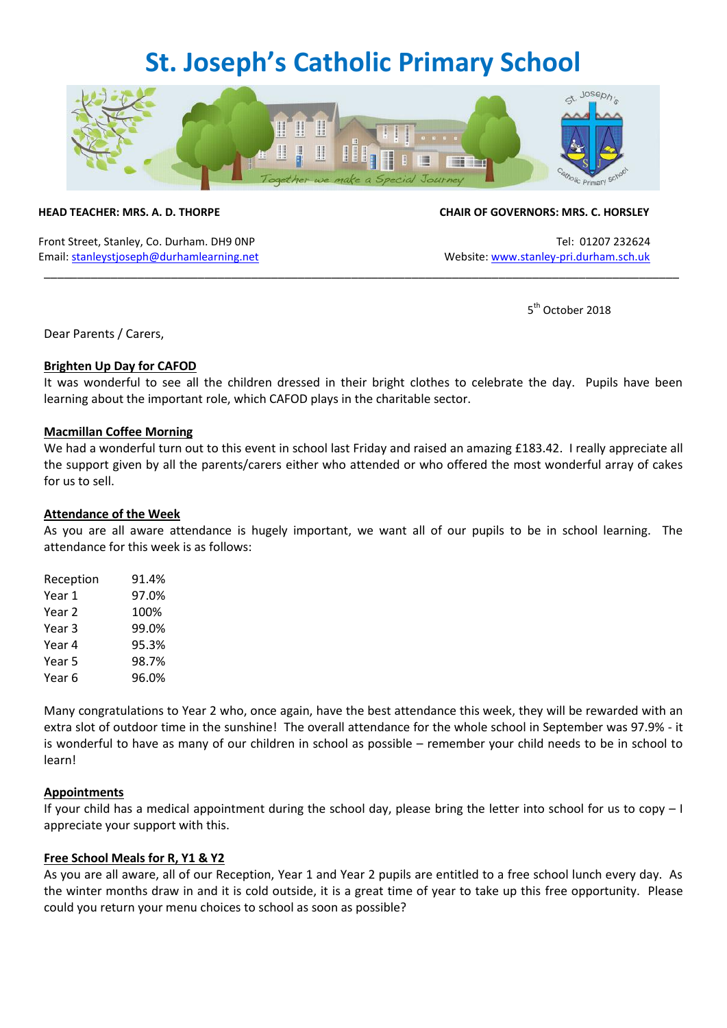## **St. Joseph's Catholic Primary School**



Front Street, Stanley, Co. Durham. DH9 0NP Tel: 01207 232624 Email[: stanleystjoseph@durhamlearning.net](mailto:stanleystjoseph@durhamlearning.net) Website[: www.stanley-pri.durham.sch.uk](http://www.stanley-pri.durham.sch.uk/)

#### **HEAD TEACHER: MRS. A. D. THORPE CHAIR OF GOVERNORS: MRS. C. HORSLEY**

5<sup>th</sup> October 2018

Dear Parents / Carers,

#### **Brighten Up Day for CAFOD**

It was wonderful to see all the children dressed in their bright clothes to celebrate the day. Pupils have been learning about the important role, which CAFOD plays in the charitable sector.

\_\_\_\_\_\_\_\_\_\_\_\_\_\_\_\_\_\_\_\_\_\_\_\_\_\_\_\_\_\_\_\_\_\_\_\_\_\_\_\_\_\_\_\_\_\_\_\_\_\_\_\_\_\_\_\_\_\_\_\_\_\_\_\_\_\_\_\_\_\_\_\_\_\_\_\_\_\_\_\_\_\_\_\_\_\_\_\_\_\_\_\_\_\_\_

#### **Macmillan Coffee Morning**

We had a wonderful turn out to this event in school last Friday and raised an amazing £183.42. I really appreciate all the support given by all the parents/carers either who attended or who offered the most wonderful array of cakes for us to sell.

#### **Attendance of the Week**

As you are all aware attendance is hugely important, we want all of our pupils to be in school learning. The attendance for this week is as follows:

| Reception | 91.4% |
|-----------|-------|
| Year 1    | 97.0% |
| Year 2    | 100%  |
| Year 3    | 99.0% |
| Year 4    | 95.3% |
| Year 5    | 98.7% |
| Year 6    | 96.0% |

Many congratulations to Year 2 who, once again, have the best attendance this week, they will be rewarded with an extra slot of outdoor time in the sunshine! The overall attendance for the whole school in September was 97.9% - it is wonderful to have as many of our children in school as possible – remember your child needs to be in school to learn!

### **Appointments**

If your child has a medical appointment during the school day, please bring the letter into school for us to copy – I appreciate your support with this.

### **Free School Meals for R, Y1 & Y2**

As you are all aware, all of our Reception, Year 1 and Year 2 pupils are entitled to a free school lunch every day. As the winter months draw in and it is cold outside, it is a great time of year to take up this free opportunity. Please could you return your menu choices to school as soon as possible?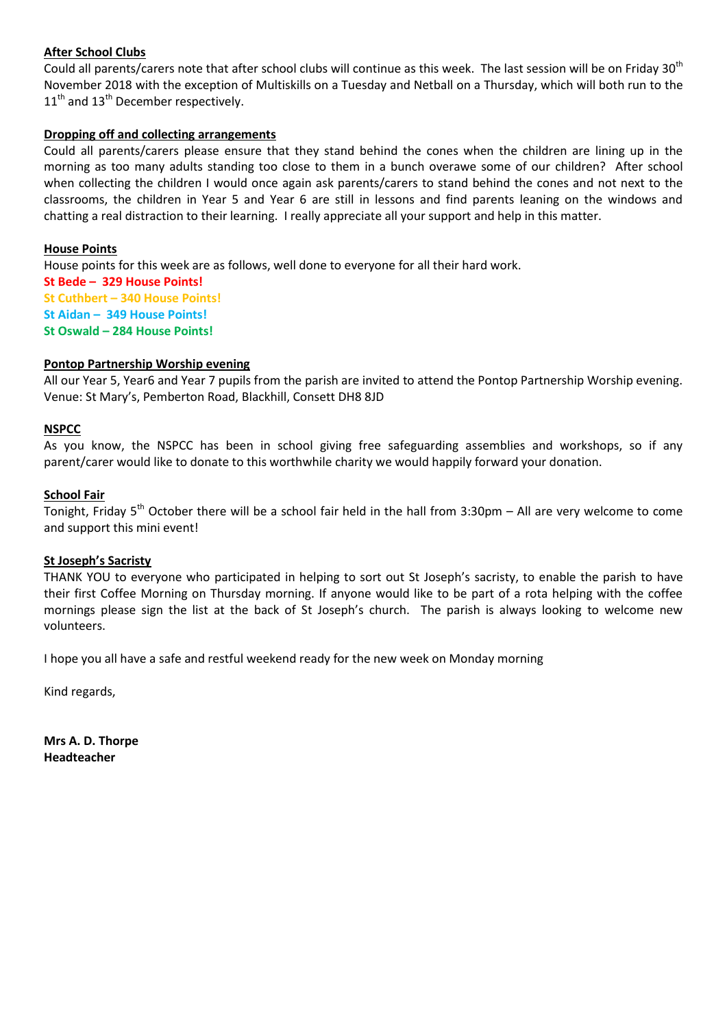#### **After School Clubs**

Could all parents/carers note that after school clubs will continue as this week. The last session will be on Friday 30<sup>th</sup> November 2018 with the exception of Multiskills on a Tuesday and Netball on a Thursday, which will both run to the  $11<sup>th</sup>$  and  $13<sup>th</sup>$  December respectively.

#### **Dropping off and collecting arrangements**

Could all parents/carers please ensure that they stand behind the cones when the children are lining up in the morning as too many adults standing too close to them in a bunch overawe some of our children? After school when collecting the children I would once again ask parents/carers to stand behind the cones and not next to the classrooms, the children in Year 5 and Year 6 are still in lessons and find parents leaning on the windows and chatting a real distraction to their learning. I really appreciate all your support and help in this matter.

#### **House Points**

House points for this week are as follows, well done to everyone for all their hard work. **St Bede – 329 House Points! St Cuthbert – 340 House Points! St Aidan – 349 House Points! St Oswald – 284 House Points!**

#### **Pontop Partnership Worship evening**

All our Year 5, Year6 and Year 7 pupils from the parish are invited to attend the Pontop Partnership Worship evening. Venue: St Mary's, Pemberton Road, Blackhill, Consett DH8 8JD

#### **NSPCC**

As you know, the NSPCC has been in school giving free safeguarding assemblies and workshops, so if any parent/carer would like to donate to this worthwhile charity we would happily forward your donation.

#### **School Fair**

Tonight, Friday 5<sup>th</sup> October there will be a school fair held in the hall from 3:30pm – All are very welcome to come and support this mini event!

#### **St Joseph's Sacristy**

THANK YOU to everyone who participated in helping to sort out St Joseph's sacristy, to enable the parish to have their first Coffee Morning on Thursday morning. If anyone would like to be part of a rota helping with the coffee mornings please sign the list at the back of St Joseph's church. The parish is always looking to welcome new volunteers.

I hope you all have a safe and restful weekend ready for the new week on Monday morning

Kind regards,

**Mrs A. D. Thorpe Headteacher**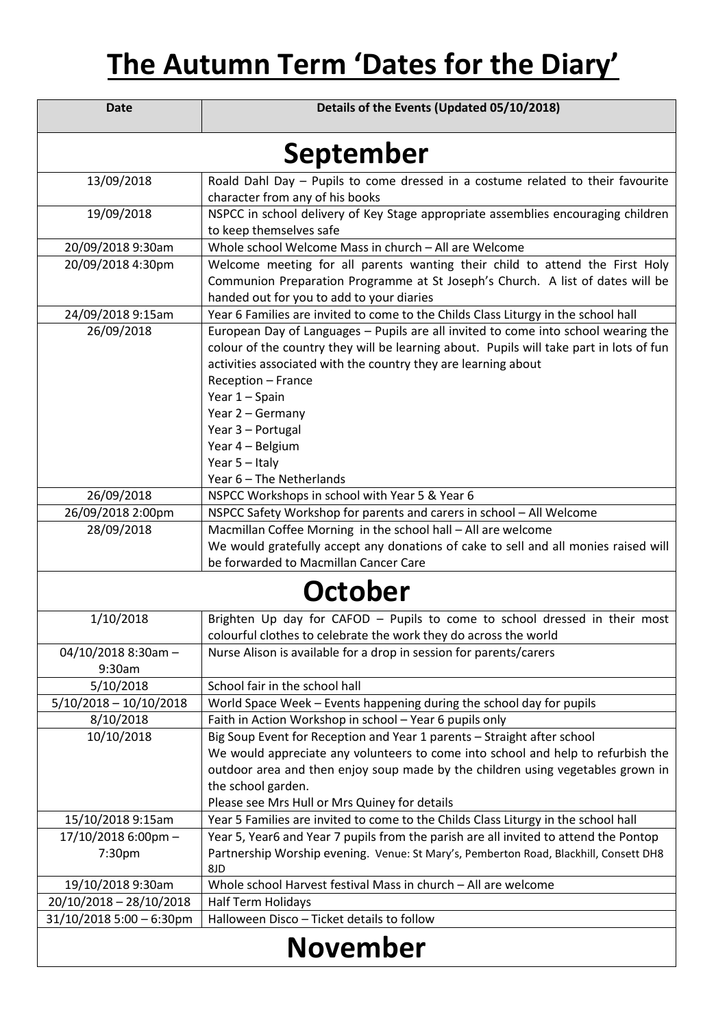# **The Autumn Term 'Dates for the Diary'**

| <b>Date</b>                | Details of the Events (Updated 05/10/2018)                                                                                                                                                                                                      |  |
|----------------------------|-------------------------------------------------------------------------------------------------------------------------------------------------------------------------------------------------------------------------------------------------|--|
| September                  |                                                                                                                                                                                                                                                 |  |
| 13/09/2018                 | Roald Dahl Day - Pupils to come dressed in a costume related to their favourite                                                                                                                                                                 |  |
|                            | character from any of his books                                                                                                                                                                                                                 |  |
| 19/09/2018                 | NSPCC in school delivery of Key Stage appropriate assemblies encouraging children<br>to keep themselves safe                                                                                                                                    |  |
| 20/09/2018 9:30am          | Whole school Welcome Mass in church - All are Welcome                                                                                                                                                                                           |  |
| 20/09/2018 4:30pm          | Welcome meeting for all parents wanting their child to attend the First Holy<br>Communion Preparation Programme at St Joseph's Church. A list of dates will be                                                                                  |  |
|                            | handed out for you to add to your diaries                                                                                                                                                                                                       |  |
| 24/09/2018 9:15am          | Year 6 Families are invited to come to the Childs Class Liturgy in the school hall                                                                                                                                                              |  |
| 26/09/2018                 | European Day of Languages - Pupils are all invited to come into school wearing the<br>colour of the country they will be learning about. Pupils will take part in lots of fun<br>activities associated with the country they are learning about |  |
|                            | Reception - France                                                                                                                                                                                                                              |  |
|                            | Year 1 - Spain                                                                                                                                                                                                                                  |  |
|                            | Year 2 - Germany                                                                                                                                                                                                                                |  |
|                            | Year 3 - Portugal                                                                                                                                                                                                                               |  |
|                            | Year 4 - Belgium                                                                                                                                                                                                                                |  |
|                            | Year 5 - Italy                                                                                                                                                                                                                                  |  |
|                            | Year 6 - The Netherlands                                                                                                                                                                                                                        |  |
| 26/09/2018                 | NSPCC Workshops in school with Year 5 & Year 6                                                                                                                                                                                                  |  |
| 26/09/2018 2:00pm          | NSPCC Safety Workshop for parents and carers in school - All Welcome                                                                                                                                                                            |  |
| 28/09/2018                 | Macmillan Coffee Morning in the school hall - All are welcome                                                                                                                                                                                   |  |
|                            | We would gratefully accept any donations of cake to sell and all monies raised will                                                                                                                                                             |  |
|                            | be forwarded to Macmillan Cancer Care                                                                                                                                                                                                           |  |
| <b>October</b>             |                                                                                                                                                                                                                                                 |  |
| 1/10/2018                  | Brighten Up day for CAFOD - Pupils to come to school dressed in their most                                                                                                                                                                      |  |
|                            | colourful clothes to celebrate the work they do across the world                                                                                                                                                                                |  |
| 04/10/2018 8:30am -        | Nurse Alison is available for a drop in session for parents/carers                                                                                                                                                                              |  |
| 9:30am                     |                                                                                                                                                                                                                                                 |  |
| 5/10/2018                  | School fair in the school hall                                                                                                                                                                                                                  |  |
| $5/10/2018 - 10/10/2018$   | World Space Week - Events happening during the school day for pupils                                                                                                                                                                            |  |
| 8/10/2018                  | Faith in Action Workshop in school - Year 6 pupils only                                                                                                                                                                                         |  |
| 10/10/2018                 | Big Soup Event for Reception and Year 1 parents - Straight after school                                                                                                                                                                         |  |
|                            | We would appreciate any volunteers to come into school and help to refurbish the                                                                                                                                                                |  |
|                            | outdoor area and then enjoy soup made by the children using vegetables grown in                                                                                                                                                                 |  |
|                            | the school garden.                                                                                                                                                                                                                              |  |
|                            | Please see Mrs Hull or Mrs Quiney for details                                                                                                                                                                                                   |  |
| 15/10/2018 9:15am          | Year 5 Families are invited to come to the Childs Class Liturgy in the school hall                                                                                                                                                              |  |
| 17/10/2018 6:00pm -        | Year 5, Year6 and Year 7 pupils from the parish are all invited to attend the Pontop                                                                                                                                                            |  |
| 7:30pm                     | Partnership Worship evening. Venue: St Mary's, Pemberton Road, Blackhill, Consett DH8<br>8JD                                                                                                                                                    |  |
| 19/10/2018 9:30am          | Whole school Harvest festival Mass in church - All are welcome                                                                                                                                                                                  |  |
| 20/10/2018 - 28/10/2018    | Half Term Holidays                                                                                                                                                                                                                              |  |
| $31/10/20185:00 - 6:30$ pm | Halloween Disco - Ticket details to follow                                                                                                                                                                                                      |  |
|                            |                                                                                                                                                                                                                                                 |  |
| <b>November</b>            |                                                                                                                                                                                                                                                 |  |